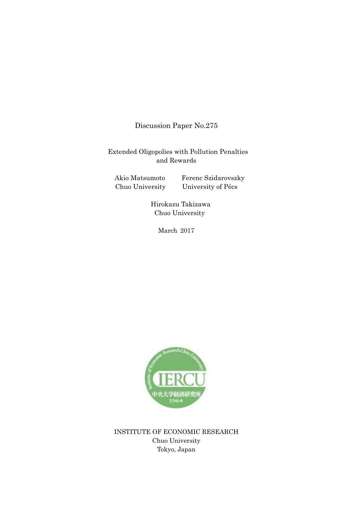Discussion Paper No.275

Extended Oligopolies with Pollution Penalties and Rewards

Akio Matsumoto Ferenc Szidarovszky Chuo University University of Pécs

> Hirokazu Takizawa Chuo University

> > March 2017



INSTITUTE OF ECONOMIC RESEARCH Chuo University Tokyo, Japan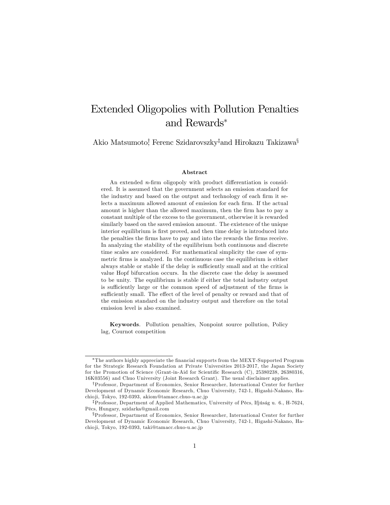# Extended Oligopolies with Pollution Penalties and Rewards

Akio Matsumoto! Ferenc Szidarovszky<sup>‡</sup>and Hirokazu Takizawa<sup>§</sup>

#### Abstract

An extended  $n$ -firm oligopoly with product differentiation is considered. It is assumed that the government selects an emission standard for the industry and based on the output and technology of each firm it selects a maximum allowed amount of emission for each firm. If the actual amount is higher than the allowed maximum, then the firm has to pay a constant multiple of the excess to the government, otherwise it is rewarded similarly based on the saved emission amount. The existence of the unique interior equilibrium is first proved, and then time delay is introduced into the penalties the firms have to pay and into the rewards the firms receive. In analyzing the stability of the equilibrium both continuous and discrete time scales are considered. For mathematical simplicity the case of symmetric firms is analyzed. In the continuous case the equilibrium is either always stable or stable if the delay is sufficiently small and at the critical value Hopf bifurcation occurs. In the discrete case the delay is assumed to be unity. The equilibrium is stable if either the total industry output is sufficiently large or the common speed of adjustment of the firms is sufficiently small. The effect of the level of penalty or reward and that of the emission standard on the industry output and therefore on the total emission level is also examined.

Keywords. Pollution penalties, Nonpoint source pollution, Policy lag, Cournot competition

The authors highly appreciate the Önancial supports from the MEXT-Supported Program for the Strategic Research Foundation at Private Universities 2013-2017, the Japan Society for the Promotion of Science (Grant-in-Aid for Scientific Research (C), 25380238, 26380316, 16K03556) and Chuo University (Joint Research Grant). The usual disclaimer applies.

<sup>&</sup>lt;sup>†</sup>Professor, Department of Economics, Senior Researcher, International Center for further Development of Dynamic Economic Research, Chuo University, 742-1, Higashi-Nakano, Hachio ji, Tokyo, 192-0393, akiom@tamacc.chuo-u.ac.jp

<sup>&</sup>lt;sup>‡</sup>Professor, Department of Applied Mathematics, University of Pécs, Ifjúság u. 6., H-7624, PÈcs, Hungary, szidarka@gmail.com

xProfessor, Department of Economics, Senior Researcher, International Center for further Development of Dynamic Economic Research, Chuo University, 742-1, Higashi-Nakano, Hachio ji, Tokyo, 192-0393, taki@tamacc.chuo-u.ac.jp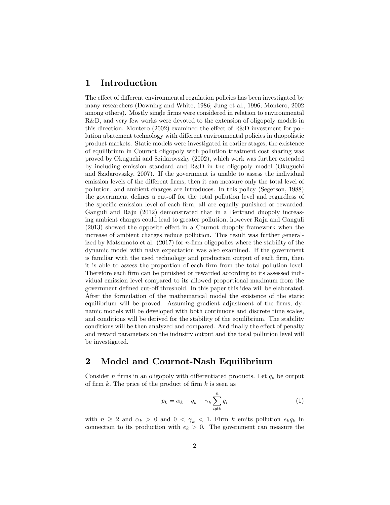#### 1 Introduction

The effect of different environmental regulation policies has been investigated by many researchers (Downing and White, 1986; Jung et al., 1996; Montero, 2002 among others). Mostly single firms were considered in relation to environmental R&D, and very few works were devoted to the extension of oligopoly models in this direction. Montero (2002) examined the effect of R&D investment for pollution abatement technology with different environmental policies in duopolistic product markets. Static models were investigated in earlier stages, the existence of equilibrium in Cournot oligopoly with pollution treatment cost sharing was proved by Okuguchi and Szidarovszky (2002), which work was further extended by including emission standard and R&D in the oligopoly model (Okuguchi and Szidarovszky, 2007). If the government is unable to assess the individual emission levels of the different firms, then it can measure only the total level of pollution, and ambient charges are introduces. In this policy (Segerson, 1988) the government defines a cut-off for the total pollution level and regardless of the specific emission level of each firm, all are equally punished or rewarded. Ganguli and Raju (2012) demonstrated that in a Bertrand duopoly increasing ambient charges could lead to greater pollution, however Raju and Ganguli  $(2013)$  showed the opposite effect in a Cournot duopoly framework when the increase of ambient charges reduce pollution. This result was further generalized by Matsumoto et al.  $(2017)$  for *n*-firm oligopolies where the stability of the dynamic model with naive expectation was also examined. If the government is familiar with the used technology and production output of each firm, then it is able to assess the proportion of each Örm from the total pollution level. Therefore each firm can be punished or rewarded according to its assessed individual emission level compared to its allowed proportional maximum from the government defined cut-off threshold. In this paper this idea will be elaborated. After the formulation of the mathematical model the existence of the static equilibrium will be proved. Assuming gradient adjustment of the firms, dynamic models will be developed with both continuous and discrete time scales, and conditions will be derived for the stability of the equilibrium. The stability conditions will be then analyzed and compared. And finally the effect of penalty and reward parameters on the industry output and the total pollution level will be investigated.

#### 2 Model and Cournot-Nash Equilibrium

Consider n firms in an oligopoly with differentiated products. Let  $q_k$  be output of firm k. The price of the product of firm  $k$  is seen as

$$
p_k = \alpha_k - q_k - \gamma_k \sum_{i \neq k}^{n} q_i \tag{1}
$$

with  $n \geq 2$  and  $\alpha_k > 0$  and  $0 < \gamma_k < 1$ . Firm k emits pollution  $e_k q_k$  in connection to its production with  $e_k > 0$ . The government can measure the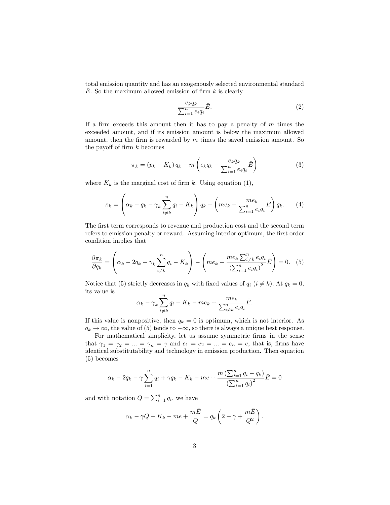total emission quantity and has an exogenously selected environmental standard  $\overline{E}$ . So the maximum allowed emission of firm k is clearly

$$
\frac{e_k q_k}{\sum_{i=1}^n e_i q_i} \bar{E}.\tag{2}
$$

If a firm exceeds this amount then it has to pay a penalty of  $m$  times the exceeded amount, and if its emission amount is below the maximum allowed amount, then the firm is rewarded by  $m$  times the saved emission amount. So the payoff of firm  $k$  becomes

$$
\pi_k = (p_k - K_k) q_k - m \left( e_k q_k - \frac{e_k q_k}{\sum_{i=1}^n e_i q_i} \bar{E} \right)
$$
 (3)

where  $K_k$  is the marginal cost of firm k. Using equation (1),

$$
\pi_k = \left(\alpha_k - q_k - \gamma_k \sum_{i \neq k}^n q_i - K_k\right) q_k - \left(me_k - \frac{me_k}{\sum_{i=1}^n e_i q_i} \bar{E}\right) q_k. \tag{4}
$$

The first term corresponds to revenue and production cost and the second term refers to emission penalty or reward. Assuming interior optimum, the first order condition implies that

$$
\frac{\partial \pi_k}{\partial q_k} = \left(\alpha_k - 2q_k - \gamma_k \sum_{i \neq k}^n q_i - K_k\right) - \left(me_k - \frac{me_k \sum_{i \neq k}^n e_i q_i}{\left(\sum_{i=1}^n e_i q_i\right)^2}\bar{E}\right) = 0. \tag{5}
$$

Notice that (5) strictly decreases in  $q_k$  with fixed values of  $q_i$  ( $i \neq k$ ). At  $q_k = 0$ , its value is

$$
\alpha_k - \gamma_k \sum_{i \neq k}^n q_i - K_k - me_k + \frac{me_k}{\sum_{i \neq k}^n e_i q_i} \bar{E}.
$$

If this value is nonpositive, then  $q_k = 0$  is optimum, which is not interior. As  $q_k \to \infty$ , the value of (5) tends to  $-\infty$ , so there is always a unique best response.

For mathematical simplicity, let us assume symmetric firms in the sense that  $\gamma_1 = \gamma_2 = ... = \gamma_n = \gamma$  and  $e_1 = e_2 = ... = e_n = e$ , that is, firms have identical substitutability and technology in emission production. Then equation (5) becomes

$$
\alpha_k - 2q_k - \gamma \sum_{i=1}^n q_i + \gamma q_k - K_k - me + \frac{m\left(\sum_{i=1}^n q_i - q_k\right)}{\left(\sum_{i=1}^n q_i\right)^2} \bar{E} = 0
$$

and with notation  $Q = \sum_{i=1}^{n} q_i$ , we have

$$
\alpha_k - \gamma Q - K_k - me + \frac{m\bar{E}}{Q} = q_k \left( 2 - \gamma + \frac{m\bar{E}}{Q^2} \right).
$$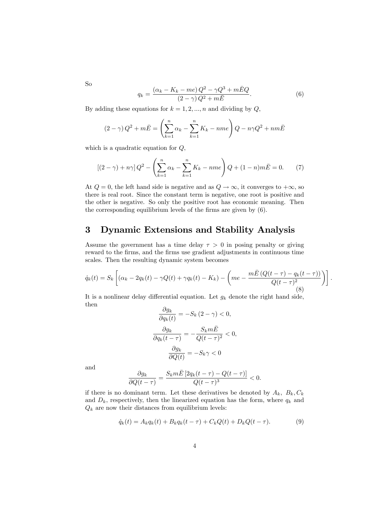So

$$
q_k = \frac{(\alpha_k - K_k - me)Q^2 - \gamma Q^3 + m\bar{E}Q}{(2-\gamma)Q^2 + m\bar{E}}.
$$
\n
$$
(6)
$$

By adding these equations for  $k = 1, 2, ..., n$  and dividing by  $Q$ ,

$$
(2-\gamma)Q^{2} + m\bar{E} = \left(\sum_{k=1}^{n} \alpha_{k} - \sum_{k=1}^{n} K_{k} - nme\right)Q - n\gamma Q^{2} + nm\bar{E}
$$

which is a quadratic equation for  $Q$ ,

$$
[(2-\gamma) + n\gamma]Q^2 - \left(\sum_{k=1}^n \alpha_k - \sum_{k=1}^n K_k - nme\right)Q + (1-n)m\bar{E} = 0. \tag{7}
$$

At  $Q = 0$ , the left hand side is negative and as  $Q \rightarrow \infty$ , it converges to  $+\infty$ , so there is real root. Since the constant term is negative, one root is positive and the other is negative. So only the positive root has economic meaning. Then the corresponding equilibrium levels of the firms are given by  $(6)$ .

#### 3 Dynamic Extensions and Stability Analysis

Assume the government has a time delay  $\tau > 0$  in posing penalty or giving reward to the firms, and the firms use gradient adjustments in continuous time scales. Then the resulting dynamic system becomes

$$
\dot{q}_k(t) = S_k \left[ (\alpha_k - 2q_k(t) - \gamma Q(t) + \gamma q_k(t) - K_k) - \left( m e - \frac{m \bar{E} \left( Q(t - \tau) - q_k(t - \tau) \right)}{Q(t - \tau)^2} \right) \right].
$$
\n(8)

It is a nonlinear delay differential equation. Let  $g_k$  denote the right hand side, then  $\sim$ 

$$
\frac{\partial g_k}{\partial q_k(t)} = -S_k (2 - \gamma) < 0,
$$
\n
$$
\frac{\partial g_k}{\partial q_k(t - \tau)} = -\frac{S_k m \bar{E}}{Q(t - \tau)^2} < 0,
$$
\n
$$
\frac{\partial g_k}{\partial Q(t)} = -S_k \gamma < 0
$$

and

$$
\frac{\partial g_k}{\partial Q(t-\tau)} = \frac{S_k m \bar{E} \left[2q_k(t-\tau) - Q(t-\tau)\right]}{Q(t-\tau)^3} < 0.
$$

if there is no dominant term. Let these derivatives be denoted by  $A_k$ ,  $B_k$ ,  $C_k$ and  $D_k$ , respectively, then the linearized equation has the form, where  $q_k$  and  $Q_k$  are now their distances from equilibrium levels:

$$
\dot{q}_k(t) = A_k q_k(t) + B_k q_k(t - \tau) + C_k Q(t) + D_k Q(t - \tau).
$$
 (9)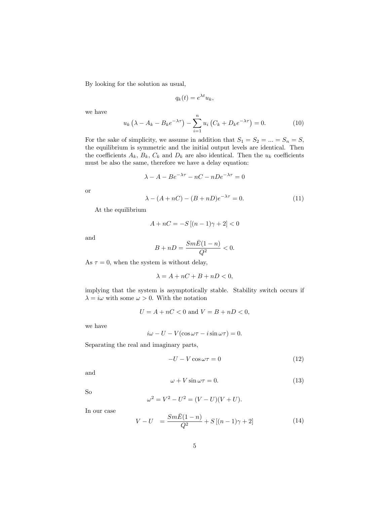By looking for the solution as usual,

$$
q_k(t) = e^{\lambda t} u_k,
$$

we have

$$
u_k (\lambda - A_k - B_k e^{-\lambda \tau}) - \sum_{i=1}^n u_i (C_k + D_k e^{-\lambda \tau}) = 0.
$$
 (10)

For the sake of simplicity, we assume in addition that  $S_1 = S_2 = ... = S_n = S$ , the equilibrium is symmetric and the initial output levels are identical. Then the coefficients  $A_k$ ,  $B_k$ ,  $C_k$  and  $D_k$  are also identical. Then the  $u_k$  coefficients must be also the same, therefore we have a delay equation:

$$
\lambda - A - Be^{-\lambda \tau} - nC - nDe^{-\lambda \tau} = 0
$$

or

$$
\lambda - (A + nC) - (B + nD)e^{-\lambda \tau} = 0.
$$
\n(11)

At the equilibrium

$$
A + nC = -S[(n-1)\gamma + 2] < 0
$$

and

$$
B+nD=\frac{Sm\bar{E}(1-n)}{Q^2}<0.
$$

As  $\tau = 0$ , when the system is without delay,

$$
\lambda = A + nC + B + nD < 0,
$$

implying that the system is asymptotically stable. Stability switch occurs if  $\lambda = i\omega$  with some  $\omega > 0$ . With the notation

$$
U = A + nC < 0 \text{ and } V = B + nD < 0,
$$

we have

$$
i\omega - U - V(\cos \omega \tau - i \sin \omega \tau) = 0.
$$

Separating the real and imaginary parts,

$$
-U - V\cos\omega\tau = 0\tag{12}
$$

and

$$
\omega + V \sin \omega \tau = 0. \tag{13}
$$

So

$$
\omega^2 = V^2 - U^2 = (V - U)(V + U).
$$

In our case

$$
V - U = \frac{Sm\bar{E}(1-n)}{Q^2} + S[(n-1)\gamma + 2]
$$
\n(14)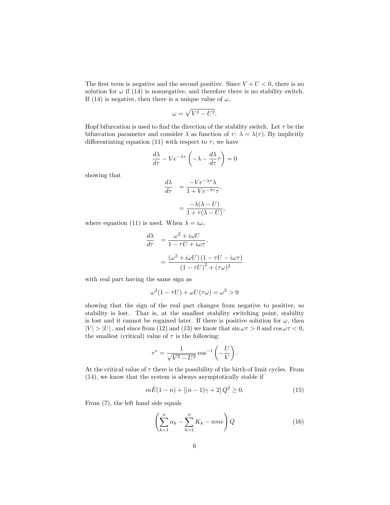The first term is negative and the second positive. Since  $V + U < 0$ , there is no solution for  $\omega$  if (14) is nonnegative, and therefore there is no stability switch. If (14) is negative, then there is a unique value of  $\omega$ ,

$$
\omega = \sqrt{V^2 - U^2}.
$$

Hopf bifurcation is used to find the direction of the stability switch. Let  $\tau$  be the bifurcation parameter and consider  $\lambda$  as function of  $\tau: \lambda = \lambda(\tau)$ . By implicitly differentiating equation (11) with respect to  $\tau$ , we have

$$
\frac{d\lambda}{d\tau} - Ve^{-\lambda\tau} \left( -\lambda - \frac{d\lambda}{d\tau} \tau \right) = 0
$$

showing that

$$
\frac{d\lambda}{d\tau} = \frac{-Ve^{-\lambda\tau}\lambda}{1 + Ve^{-\lambda\tau}\tau},
$$

$$
= \frac{-\lambda(\lambda - U)}{1 + \tau(\lambda - U)},
$$

where equation (11) is used. When  $\lambda = i\omega$ ,

$$
\frac{d\lambda}{d\tau} = \frac{\omega^2 + i\omega U}{1 - \tau U + i\omega \tau},
$$

$$
= \frac{(\omega^2 + i\omega U)(1 - \tau U - i\omega \tau)}{(1 - \tau U)^2 + (\tau \omega)^2}
$$

with real part having the same sign as

$$
\omega^2(1 - \tau U) + \omega U(\tau \omega) = \omega^2 > 0
$$

showing that the sign of the real part changes from negative to positive, so stability is lost. That is, at the smallest stability switching point, stability is lost and it cannot be regained later. If there is positive solution for  $\omega$ , then  $|V| > |U|$ , and since from (12) and (13) we know that  $\sin \omega \tau > 0$  and  $\cos \omega \tau < 0$ , the smallest (critical) value of  $\tau$  is the following:

$$
\tau^* = \frac{1}{\sqrt{V^2 - U^2}} \cos^{-1} \left(-\frac{U}{V}\right).
$$

At the critical value of  $\tau$  there is the possibility of the birth of limit cycles. From (14), we know that the system is always asymptotically stable if

$$
m\bar{E}(1-n) + [(n-1)\gamma + 2]Q^2 \ge 0.
$$
 (15)

From (7), the left hand side equals

$$
\left(\sum_{k=1}^{n} \alpha_k - \sum_{k=1}^{n} K_k - nme\right) Q \tag{16}
$$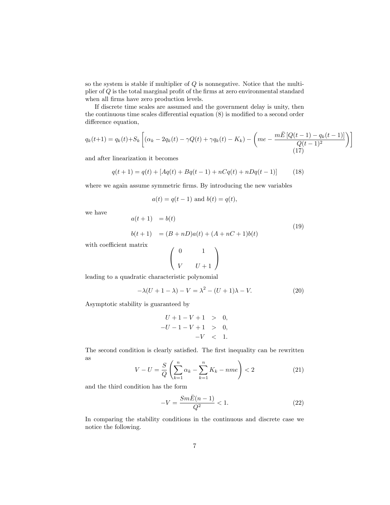so the system is stable if multiplier of  $Q$  is nonnegative. Notice that the multiplier of  $Q$  is the total marginal profit of the firms at zero environmental standard when all firms have zero production levels.

If discrete time scales are assumed and the government delay is unity, then the continuous time scales differential equation  $(8)$  is modified to a second order difference equation,

$$
q_k(t+1) = q_k(t) + S_k \left[ (\alpha_k - 2q_k(t) - \gamma Q(t) + \gamma q_k(t) - K_k) - \left( m e - \frac{m \bar{E} \left[ Q(t-1) - q_k(t-1) \right]}{Q(t-1)^2} \right) \right]
$$
\n(17)

and after linearization it becomes

$$
q(t+1) = q(t) + [Aq(t) + Bq(t-1) + nCq(t) + nDq(t-1)] \tag{18}
$$

where we again assume symmetric firms. By introducing the new variables

$$
a(t) = q(t-1)
$$
 and  $b(t) = q(t)$ ,

we have

$$
a(t+1) = b(t)
$$
  
\n
$$
b(t+1) = (B+nD)a(t) + (A+nC+1)b(t)
$$
\n(19)

with coefficient matrix

$$
\left(\begin{array}{cc}0&&1\\&v&\end{array}\right)
$$

leading to a quadratic characteristic polynomial

$$
-\lambda(U+1-\lambda) - V = \lambda^2 - (U+1)\lambda - V.
$$
 (20)

Asymptotic stability is guaranteed by

$$
U + 1 - V + 1 > 0,
$$
  

$$
-U - 1 - V + 1 > 0,
$$
  

$$
-V < 1.
$$

The second condition is clearly satisfied. The first inequality can be rewritten as

$$
V - U = \frac{S}{Q} \left( \sum_{k=1}^{n} \alpha_k - \sum_{k=1}^{n} K_k - nme \right) < 2
$$
 (21)

and the third condition has the form

$$
-V = \frac{Sm\bar{E}(n-1)}{Q^2} < 1. \tag{22}
$$

In comparing the stability conditions in the continuous and discrete case we notice the following.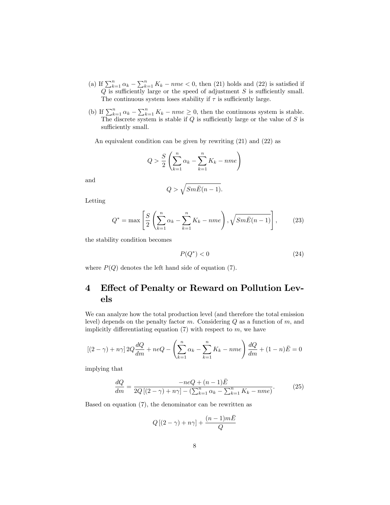- (a) If  $\sum_{k=1}^{n} \alpha_k \sum_{k=1}^{n} K_k nme < 0$ , then (21) holds and (22) is satisfied if  $Q$  is sufficiently large or the speed of adjustment  $S$  is sufficiently small. The continuous system loses stability if  $\tau$  is sufficiently large.
- (b) If  $\sum_{k=1}^{n} \alpha_k \sum_{k=1}^{n} K_k nme \geq 0$ , then the continuous system is stable. The discrete system is stable if  $Q$  is sufficiently large or the value of  $S$  is  $\,$  sufficiently small.

An equivalent condition can be given by rewriting (21) and (22) as

$$
Q > \frac{S}{2} \left( \sum_{k=1}^{n} \alpha_k - \sum_{k=1}^{n} K_k - nme \right)
$$

and

$$
Q > \sqrt{Sm\bar{E}(n-1)}.
$$

Letting

$$
Q^* = \max\left[\frac{S}{2}\left(\sum_{k=1}^n \alpha_k - \sum_{k=1}^n K_k - nme\right), \sqrt{Sm\bar{E}(n-1)}\right],\qquad(23)
$$

the stability condition becomes

$$
P(Q^*)<0\tag{24}
$$

where  $P(Q)$  denotes the left hand side of equation (7).

## 4 Effect of Penalty or Reward on Pollution Levels

We can analyze how the total production level (and therefore the total emission level) depends on the penalty factor  $m$ . Considering  $Q$  as a function of  $m$ , and implicitly differentiating equation  $(7)$  with respect to m, we have

$$
[(2 - \gamma) + n\gamma] 2Q \frac{dQ}{dm} + neQ - \left(\sum_{k=1}^{n} \alpha_k - \sum_{k=1}^{n} K_k - nme\right) \frac{dQ}{dm} + (1 - n)\bar{E} = 0
$$

implying that

$$
\frac{dQ}{dm} = \frac{-neQ + (n-1)\bar{E}}{2Q[(2-\gamma) + n\gamma] - (\sum_{k=1}^{n} \alpha_k - \sum_{k=1}^{n} K_k - nme)}.
$$
(25)

Based on equation (7), the denominator can be rewritten as

$$
Q\left[(2-\gamma)+n\gamma\right]+\frac{(n-1)m\bar{E}}{Q}
$$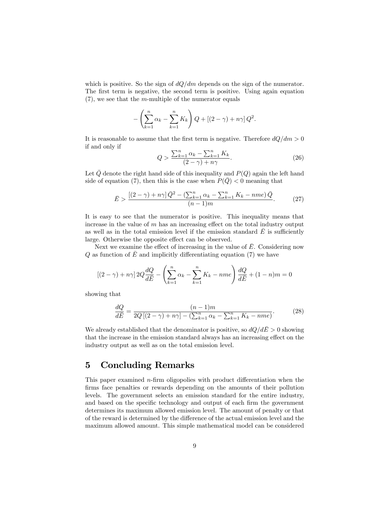which is positive. So the sign of  $dQ/dm$  depends on the sign of the numerator. The first term is negative, the second term is positive. Using again equation  $(7)$ , we see that the *m*-multiple of the numerator equals

$$
-\left(\sum_{k=1}^n \alpha_k - \sum_{k=1}^n K_k\right) Q + \left[(2-\gamma) + n\gamma\right] Q^2.
$$

It is reasonable to assume that the first term is negative. Therefore  $dQ/dm > 0$ if and only if

$$
Q > \frac{\sum_{k=1}^{n} \alpha_k - \sum_{k=1}^{n} K_k}{(2-\gamma) + n\gamma}.
$$
\n(26)

Let  $Q$  denote the right hand side of this inequality and  $P(Q)$  again the left hand side of equation (7), then this is the case when  $P(Q) < 0$  meaning that

$$
\bar{E} > \frac{[(2-\gamma)+n\gamma]\bar{Q}^2 - (\sum_{k=1}^n \alpha_k - \sum_{k=1}^n K_k - nme)\bar{Q}}{(n-1)m}.
$$
 (27)

It is easy to see that the numerator is positive. This inequality means that increase in the value of  $m$  has an increasing effect on the total industry output as well as in the total emission level if the emission standard  $\overline{E}$  is sufficiently large. Otherwise the opposite effect can be observed.

Next we examine the effect of increasing in the value of  $E$ . Considering now  $Q$  as function of  $\overline{E}$  and implicitly differentiating equation (7) we have

$$
\left[ (2-\gamma) + n\gamma \right] 2Q \frac{dQ}{d\overline{E}} - \left( \sum_{k=1}^{n} \alpha_k - \sum_{k=1}^{n} K_k - nme \right) \frac{dQ}{d\overline{E}} + (1-n)m = 0
$$

showing that

$$
\frac{dQ}{d\bar{E}} = \frac{(n-1)m}{2Q[(2-\gamma)+n\gamma] - (\sum_{k=1}^{n} \alpha_k - \sum_{k=1}^{n} K_k - nme)}.
$$
(28)

We already established that the denominator is positive, so  $dQ/dE > 0$  showing that the increase in the emission standard always has an increasing effect on the industry output as well as on the total emission level.

### 5 Concluding Remarks

This paper examined  $n$ -firm oligopolies with product differentiation when the firms face penalties or rewards depending on the amounts of their pollution levels. The government selects an emission standard for the entire industry, and based on the specific technology and output of each firm the government determines its maximum allowed emission level. The amount of penalty or that of the reward is determined by the difference of the actual emission level and the maximum allowed amount. This simple mathematical model can be considered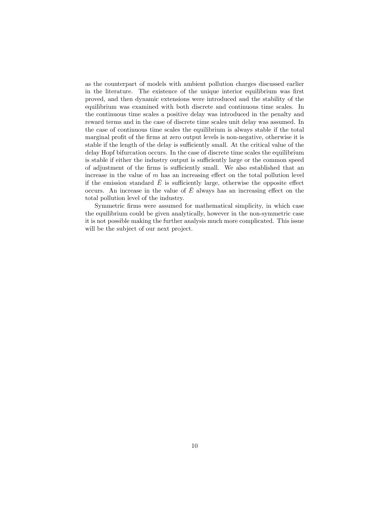as the counterpart of models with ambient pollution charges discussed earlier in the literature. The existence of the unique interior equilibrium was first proved, and then dynamic extensions were introduced and the stability of the equilibrium was examined with both discrete and continuous time scales. In the continuous time scales a positive delay was introduced in the penalty and reward terms and in the case of discrete time scales unit delay was assumed. In the case of continuous time scales the equilibrium is always stable if the total marginal profit of the firms at zero output levels is non-negative, otherwise it is stable if the length of the delay is sufficiently small. At the critical value of the delay Hopf bifurcation occurs. In the case of discrete time scales the equilibrium is stable if either the industry output is sufficiently large or the common speed of adjustment of the firms is sufficiently small. We also established that an increase in the value of  $m$  has an increasing effect on the total pollution level if the emission standard  $E$  is sufficiently large, otherwise the opposite effect occurs. An increase in the value of  $E$  always has an increasing effect on the total pollution level of the industry.

Symmetric firms were assumed for mathematical simplicity, in which case the equilibrium could be given analytically, however in the non-symmetric case it is not possible making the further analysis much more complicated. This issue will be the subject of our next project.